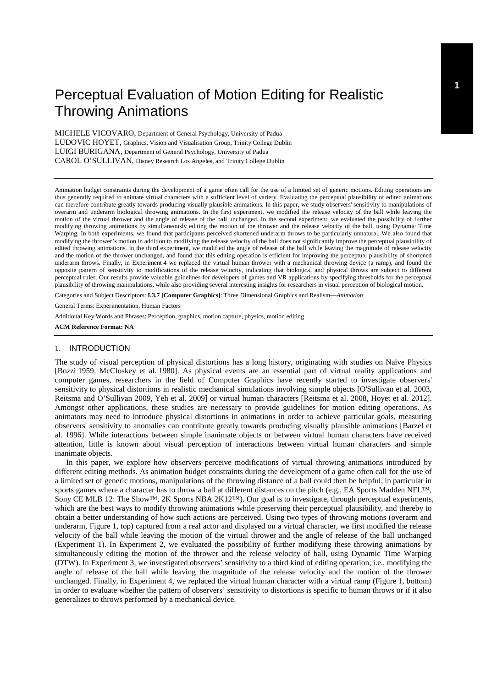# Perceptual Evaluation of Motion Editing for Realistic Throwing Animations

MICHELE VICOVARO, Department of General Psychology, University of Padua LUDOVIC HOYET, Graphics, Vision and Visualisation Group, Trinity College Dublin LUIGI BURIGANA, Department of General Psychology, University of Padua CAROL O'SULLIVAN, Disney Research Los Angeles, and Trinity College Dublin

Animation budget constraints during the development of a game often call for the use of a limited set of generic motions. Editing operations are thus generally required to animate virtual characters with a sufficient level of variety. Evaluating the perceptual plausibility of edited animations can therefore contribute greatly towards producing visually plausible animations. In this paper, we study observers' sensitivity to manipulations of overarm and underarm biological throwing animations. In the first experiment, we modified the release velocity of the ball while leaving the motion of the virtual thrower and the angle of release of the ball unchanged. In the second experiment, we evaluated the possibility of further modifying throwing animations by simultaneously editing the motion of the thrower and the release velocity of the ball, using Dynamic Time Warping. In both experiments, we found that participants perceived shortened underarm throws to be particularly unnatural. We also found that modifying the thrower's motion in addition to modifying the release velocity of the ball does not significantly improve the perceptual plausibility of edited throwing animations. In the third experiment, we modified the angle of release of the ball while leaving the magnitude of release velocity and the motion of the thrower unchanged, and found that this editing operation is efficient for improving the perceptual plausibility of shortened underarm throws. Finally, in Experiment 4 we replaced the virtual human thrower with a mechanical throwing device (a ramp), and found the opposite pattern of sensitivity to modifications of the release velocity, indicating that biological and physical throws are subject to different perceptual rules. Our results provide valuable guidelines for developers of games and VR applications by specifying thresholds for the perceptual plausibility of throwing manipulations, while also providing several interesting insights for researchers in visual perception of biological motion.

Categories and Subject Descriptors: **I.3.7 [Computer Graphics]**: Three Dimensional Graphics and Realism—*Animation*

General Terms: Experimentation, Human Factors

Additional Key Words and Phrases: Perception, graphics, motion capture, physics, motion editing

**ACM Reference Format: NA** 

### 1. INTRODUCTION

The study of visual perception of physical distortions has a long history, originating with studies on Naïve Physics [Bozzi 1959, McCloskey et al. 1980]. As physical events are an essential part of virtual reality applications and computer games, researchers in the field of Computer Graphics have recently started to investigate observers' sensitivity to physical distortions in realistic mechanical simulations involving simple objects [O'Sullivan et al. 2003, Reitsma and O'Sullivan 2009, Yeh et al. 2009] or virtual human characters [Reitsma et al. 2008, Hoyet et al. 2012]. Amongst other applications, these studies are necessary to provide guidelines for motion editing operations. As animators may need to introduce physical distortions in animations in order to achieve particular goals, measuring observers' sensitivity to anomalies can contribute greatly towards producing visually plausible animations [Barzel et al. 1996]. While interactions between simple inanimate objects or between virtual human characters have received attention, little is known about visual perception of interactions between virtual human characters and simple inanimate objects.

In this paper, we explore how observers perceive modifications of virtual throwing animations introduced by different editing methods. As animation budget constraints during the development of a game often call for the use of a limited set of generic motions, manipulations of the throwing distance of a ball could then be helpful, in particular in sports games where a character has to throw a ball at different distances on the pitch (e.g., EA Sports Madden NFL<sup>™</sup>, Sony CE MLB 12: The Show™, 2K Sports NBA 2K12™). Our goal is to investigate, through perceptual experiments, which are the best ways to modify throwing animations while preserving their perceptual plausibility, and thereby to obtain a better understanding of how such actions are perceived. Using two types of throwing motions (overarm and underarm, Figure 1, top) captured from a real actor and displayed on a virtual character, we first modified the release velocity of the ball while leaving the motion of the virtual thrower and the angle of release of the ball unchanged (Experiment 1). In Experiment 2, we evaluated the possibility of further modifying these throwing animations by simultaneously editing the motion of the thrower and the release velocity of ball, using Dynamic Time Warping (DTW). In Experiment 3, we investigated observers' sensitivity to a third kind of editing operation, i.e., modifying the angle of release of the ball while leaving the magnitude of the release velocity and the motion of the thrower unchanged. Finally, in Experiment 4, we replaced the virtual human character with a virtual ramp (Figure 1, bottom) in order to evaluate whether the pattern of observers' sensitivity to distortions is specific to human throws or if it also generalizes to throws performed by a mechanical device.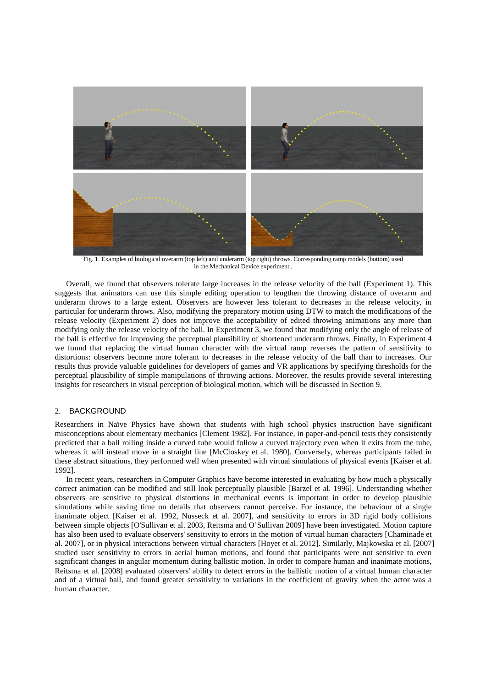

Fig. 1. Examples of biological overarm (top left) and underarm (top right) throws. Corresponding ramp models (bottom) used in the Mechanical Device experiment..

Overall, we found that observers tolerate large increases in the release velocity of the ball (Experiment 1). This suggests that animators can use this simple editing operation to lengthen the throwing distance of overarm and underarm throws to a large extent. Observers are however less tolerant to decreases in the release velocity, in particular for underarm throws. Also, modifying the preparatory motion using DTW to match the modifications of the release velocity (Experiment 2) does not improve the acceptability of edited throwing animations any more than modifying only the release velocity of the ball. In Experiment 3, we found that modifying only the angle of release of the ball is effective for improving the perceptual plausibility of shortened underarm throws. Finally, in Experiment 4 we found that replacing the virtual human character with the virtual ramp reverses the pattern of sensitivity to distortions: observers become more tolerant to decreases in the release velocity of the ball than to increases. Our results thus provide valuable guidelines for developers of games and VR applications by specifying thresholds for the perceptual plausibility of simple manipulations of throwing actions. Moreover, the results provide several interesting insights for researchers in visual perception of biological motion, which will be discussed in Section 9.

# 2. BACKGROUND

Researchers in Naïve Physics have shown that students with high school physics instruction have significant misconceptions about elementary mechanics [Clement 1982]. For instance, in paper-and-pencil tests they consistently predicted that a ball rolling inside a curved tube would follow a curved trajectory even when it exits from the tube, whereas it will instead move in a straight line [McCloskey et al. 1980]. Conversely, whereas participants failed in these abstract situations, they performed well when presented with virtual simulations of physical events [Kaiser et al. 1992].

In recent years, researchers in Computer Graphics have become interested in evaluating by how much a physically correct animation can be modified and still look perceptually plausible [Barzel et al. 1996]. Understanding whether observers are sensitive to physical distortions in mechanical events is important in order to develop plausible simulations while saving time on details that observers cannot perceive. For instance, the behaviour of a single inanimate object [Kaiser et al. 1992, Nusseck et al. 2007], and sensitivity to errors in 3D rigid body collisions between simple objects [O'Sullivan et al. 2003, Reitsma and O'Sullivan 2009] have been investigated. Motion capture has also been used to evaluate observers' sensitivity to errors in the motion of virtual human characters [Chaminade et al. 2007], or in physical interactions between virtual characters [Hoyet et al. 2012]. Similarly, Majkowska et al. [2007] studied user sensitivity to errors in aerial human motions, and found that participants were not sensitive to even significant changes in angular momentum during ballistic motion. In order to compare human and inanimate motions, Reitsma et al. [2008] evaluated observers' ability to detect errors in the ballistic motion of a virtual human character and of a virtual ball, and found greater sensitivity to variations in the coefficient of gravity when the actor was a human character.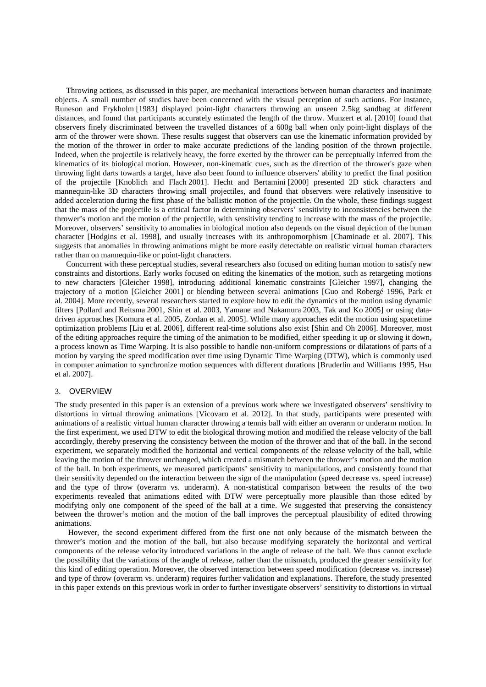Throwing actions, as discussed in this paper, are mechanical interactions between human characters and inanimate objects. A small number of studies have been concerned with the visual perception of such actions. For instance, Runeson and Frykholm [1983] displayed point-light characters throwing an unseen 2.5kg sandbag at different distances, and found that participants accurately estimated the length of the throw. Munzert et al. [2010] found that observers finely discriminated between the travelled distances of a 600g ball when only point-light displays of the arm of the thrower were shown. These results suggest that observers can use the kinematic information provided by the motion of the thrower in order to make accurate predictions of the landing position of the thrown projectile. Indeed, when the projectile is relatively heavy, the force exerted by the thrower can be perceptually inferred from the kinematics of its biological motion. However, non-kinematic cues, such as the direction of the thrower's gaze when throwing light darts towards a target, have also been found to influence observers' ability to predict the final position of the projectile [Knoblich and Flach 2001]. Hecht and Bertamini [2000] presented 2D stick characters and mannequin-like 3D characters throwing small projectiles, and found that observers were relatively insensitive to added acceleration during the first phase of the ballistic motion of the projectile. On the whole, these findings suggest that the mass of the projectile is a critical factor in determining observers' sensitivity to inconsistencies between the thrower's motion and the motion of the projectile, with sensitivity tending to increase with the mass of the projectile. Moreover, observers' sensitivity to anomalies in biological motion also depends on the visual depiction of the human character [Hodgins et al. 1998], and usually increases with its anthropomorphism [Chaminade et al. 2007]. This suggests that anomalies in throwing animations might be more easily detectable on realistic virtual human characters rather than on mannequin-like or point-light characters.

Concurrent with these perceptual studies, several researchers also focused on editing human motion to satisfy new constraints and distortions. Early works focused on editing the kinematics of the motion, such as retargeting motions to new characters [Gleicher 1998], introducing additional kinematic constraints [Gleicher 1997], changing the trajectory of a motion [Gleicher 2001] or blending between several animations [Guo and Robergé 1996, Park et al. 2004]. More recently, several researchers started to explore how to edit the dynamics of the motion using dynamic filters [Pollard and Reitsma 2001, Shin et al. 2003, Yamane and Nakamura 2003, Tak and Ko 2005] or using datadriven approaches [Komura et al. 2005, Zordan et al. 2005]. While many approaches edit the motion using spacetime optimization problems [Liu et al. 2006], different real-time solutions also exist [Shin and Oh 2006]. Moreover, most of the editing approaches require the timing of the animation to be modified, either speeding it up or slowing it down, a process known as Time Warping. It is also possible to handle non-uniform compressions or dilatations of parts of a motion by varying the speed modification over time using Dynamic Time Warping (DTW), which is commonly used in computer animation to synchronize motion sequences with different durations [Bruderlin and Williams 1995, Hsu et al. 2007].

# 3. OVERVIEW

The study presented in this paper is an extension of a previous work where we investigated observers' sensitivity to distortions in virtual throwing animations [Vicovaro et al. 2012]. In that study, participants were presented with animations of a realistic virtual human character throwing a tennis ball with either an overarm or underarm motion. In the first experiment, we used DTW to edit the biological throwing motion and modified the release velocity of the ball accordingly, thereby preserving the consistency between the motion of the thrower and that of the ball. In the second experiment, we separately modified the horizontal and vertical components of the release velocity of the ball, while leaving the motion of the thrower unchanged, which created a mismatch between the thrower's motion and the motion of the ball. In both experiments, we measured participants' sensitivity to manipulations, and consistently found that their sensitivity depended on the interaction between the sign of the manipulation (speed decrease vs. speed increase) and the type of throw (overarm vs. underarm). A non-statistical comparison between the results of the two experiments revealed that animations edited with DTW were perceptually more plausible than those edited by modifying only one component of the speed of the ball at a time. We suggested that preserving the consistency between the thrower's motion and the motion of the ball improves the perceptual plausibility of edited throwing animations.

 However, the second experiment differed from the first one not only because of the mismatch between the thrower's motion and the motion of the ball, but also because modifying separately the horizontal and vertical components of the release velocity introduced variations in the angle of release of the ball. We thus cannot exclude the possibility that the variations of the angle of release, rather than the mismatch, produced the greater sensitivity for this kind of editing operation. Moreover, the observed interaction between speed modification (decrease vs. increase) and type of throw (overarm vs. underarm) requires further validation and explanations. Therefore, the study presented in this paper extends on this previous work in order to further investigate observers' sensitivity to distortions in virtual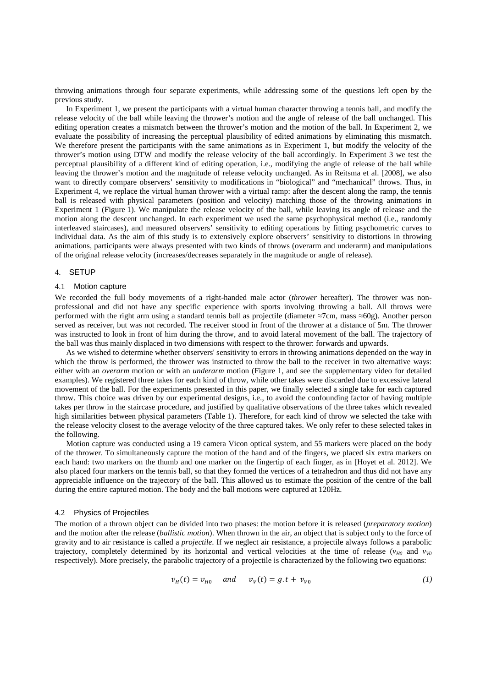throwing animations through four separate experiments, while addressing some of the questions left open by the previous study.

In Experiment 1, we present the participants with a virtual human character throwing a tennis ball, and modify the release velocity of the ball while leaving the thrower's motion and the angle of release of the ball unchanged. This editing operation creates a mismatch between the thrower's motion and the motion of the ball. In Experiment 2, we evaluate the possibility of increasing the perceptual plausibility of edited animations by eliminating this mismatch. We therefore present the participants with the same animations as in Experiment 1, but modify the velocity of the thrower's motion using DTW and modify the release velocity of the ball accordingly. In Experiment 3 we test the perceptual plausibility of a different kind of editing operation, i.e., modifying the angle of release of the ball while leaving the thrower's motion and the magnitude of release velocity unchanged. As in Reitsma et al. [2008], we also want to directly compare observers' sensitivity to modifications in "biological" and "mechanical" throws. Thus, in Experiment 4, we replace the virtual human thrower with a virtual ramp: after the descent along the ramp, the tennis ball is released with physical parameters (position and velocity) matching those of the throwing animations in Experiment 1 (Figure 1). We manipulate the release velocity of the ball, while leaving its angle of release and the motion along the descent unchanged. In each experiment we used the same psychophysical method (i.e., randomly interleaved staircases), and measured observers' sensitivity to editing operations by fitting psychometric curves to individual data. As the aim of this study is to extensively explore observers' sensitivity to distortions in throwing animations, participants were always presented with two kinds of throws (overarm and underarm) and manipulations of the original release velocity (increases/decreases separately in the magnitude or angle of release).

## 4. SETUP

#### 4.1 Motion capture

We recorded the full body movements of a right-handed male actor (*thrower* hereafter). The thrower was nonprofessional and did not have any specific experience with sports involving throwing a ball. All throws were performed with the right arm using a standard tennis ball as projectile (diameter ≈7cm, mass ≈60g). Another person served as receiver, but was not recorded. The receiver stood in front of the thrower at a distance of 5m. The thrower was instructed to look in front of him during the throw, and to avoid lateral movement of the ball. The trajectory of the ball was thus mainly displaced in two dimensions with respect to the thrower: forwards and upwards.

As we wished to determine whether observers' sensitivity to errors in throwing animations depended on the way in which the throw is performed, the thrower was instructed to throw the ball to the receiver in two alternative ways: either with an *overarm* motion or with an *underarm* motion (Figure 1, and see the supplementary video for detailed examples). We registered three takes for each kind of throw, while other takes were discarded due to excessive lateral movement of the ball. For the experiments presented in this paper, we finally selected a single take for each captured throw. This choice was driven by our experimental designs, i.e., to avoid the confounding factor of having multiple takes per throw in the staircase procedure, and justified by qualitative observations of the three takes which revealed high similarities between physical parameters (Table 1). Therefore, for each kind of throw we selected the take with the release velocity closest to the average velocity of the three captured takes. We only refer to these selected takes in the following.

Motion capture was conducted using a 19 camera Vicon optical system, and 55 markers were placed on the body of the thrower. To simultaneously capture the motion of the hand and of the fingers, we placed six extra markers on each hand: two markers on the thumb and one marker on the fingertip of each finger, as in [Hoyet et al. 2012]. We also placed four markers on the tennis ball, so that they formed the vertices of a tetrahedron and thus did not have any appreciable influence on the trajectory of the ball. This allowed us to estimate the position of the centre of the ball during the entire captured motion. The body and the ball motions were captured at 120Hz.

# 4.2 Physics of Projectiles

The motion of a thrown object can be divided into two phases: the motion before it is released (*preparatory motion*) and the motion after the release (*ballistic motion*). When thrown in the air, an object that is subject only to the force of gravity and to air resistance is called a *projectile*. If we neglect air resistance, a projectile always follows a parabolic trajectory, completely determined by its horizontal and vertical velocities at the time of release ( $v_{H0}$  and  $v_{V0}$ ) respectively). More precisely, the parabolic trajectory of a projectile is characterized by the following two equations:

$$
v_H(t) = v_{H0} \quad \text{and} \quad v_V(t) = g \cdot t + v_{V0} \tag{1}
$$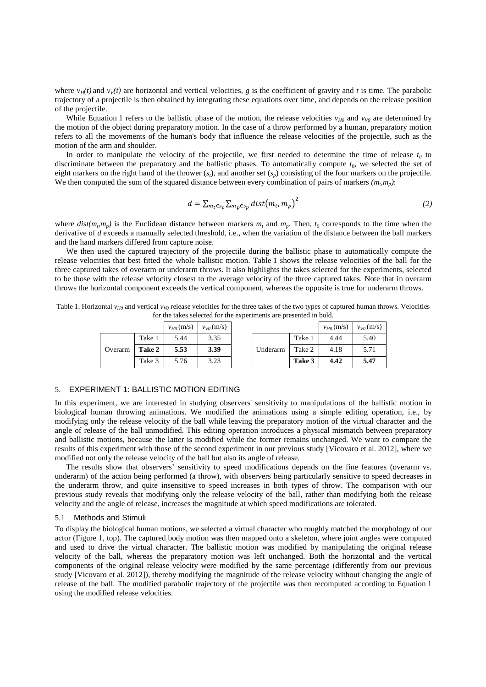where  $v_H(t)$  and  $v_V(t)$  are horizontal and vertical velocities, g is the coefficient of gravity and t is time. The parabolic trajectory of a projectile is then obtained by integrating these equations over time, and depends on the release position of the projectile.

While Equation 1 refers to the ballistic phase of the motion, the release velocities  $v_{H0}$  and  $v_{V0}$  are determined by the motion of the object during preparatory motion. In the case of a throw performed by a human, preparatory motion refers to all the movements of the human's body that influence the release velocities of the projectile, such as the motion of the arm and shoulder.

In order to manipulate the velocity of the projectile, we first needed to determine the time of release  $t_0$  to discriminate between the preparatory and the ballistic phases. To automatically compute *t0*, we selected the set of eight markers on the right hand of the thrower (*st*), and another set (*sp*) consisting of the four markers on the projectile. We then computed the sum of the squared distance between every combination of pairs of markers  $(m_b m_p)$ :

$$
d = \sum_{m_t \in s_t} \sum_{m_p \in s_p} dist(m_t, m_p)^2
$$
 (2)

where  $dist(m_b, m_p)$  is the Euclidean distance between markers  $m_t$  and  $m_p$ . Then,  $t_0$  corresponds to the time when the derivative of *d* exceeds a manually selected threshold, i.e., when the variation of the distance between the ball markers and the hand markers differed from capture noise.

We then used the captured trajectory of the projectile during the ballistic phase to automatically compute the release velocities that best fitted the whole ballistic motion. Table 1 shows the release velocities of the ball for the three captured takes of overarm or underarm throws. It also highlights the takes selected for the experiments, selected to be those with the release velocity closest to the average velocity of the three captured takes. Note that in overarm throws the horizontal component exceeds the vertical component, whereas the opposite is true for underarm throws.

Table 1. Horizontal  $v_{H0}$  and vertical  $v_{V0}$  release velocities for the three takes of the two types of captured human throws. Velocities for the takes selected for the experiments are presented in bold.

|         |               | $v_{H0}$ (m/s) | $v_{V0}$ (m/s) |          |        | $v_{H0}$ (m/s) | $v_{V0}$ (m/s) |
|---------|---------------|----------------|----------------|----------|--------|----------------|----------------|
|         | Take 1        | 5.44           | 3.35           |          | Take 1 | 4.44           | 5.40           |
| Overarm | <b>Take 2</b> | 5.53           | 3.39           | Underarm | Take 2 | 4.18           | 5.71           |
|         | Take 3        | 5.76           | 3.23           |          | Take 3 | 4.42           | 5.47           |

# 5. EXPERIMENT 1: BALLISTIC MOTION EDITING

In this experiment, we are interested in studying observers' sensitivity to manipulations of the ballistic motion in biological human throwing animations. We modified the animations using a simple editing operation, i.e., by modifying only the release velocity of the ball while leaving the preparatory motion of the virtual character and the angle of release of the ball unmodified. This editing operation introduces a physical mismatch between preparatory and ballistic motions, because the latter is modified while the former remains unchanged. We want to compare the results of this experiment with those of the second experiment in our previous study [Vicovaro et al. 2012], where we modified not only the release velocity of the ball but also its angle of release.

The results show that observers' sensitivity to speed modifications depends on the fine features (overarm vs. underarm) of the action being performed (a throw), with observers being particularly sensitive to speed decreases in the underarm throw, and quite insensitive to speed increases in both types of throw. The comparison with our previous study reveals that modifying only the release velocity of the ball, rather than modifying both the release velocity and the angle of release, increases the magnitude at which speed modifications are tolerated.

#### 5.1 Methods and Stimuli

To display the biological human motions, we selected a virtual character who roughly matched the morphology of our actor (Figure 1, top). The captured body motion was then mapped onto a skeleton, where joint angles were computed and used to drive the virtual character. The ballistic motion was modified by manipulating the original release velocity of the ball, whereas the preparatory motion was left unchanged. Both the horizontal and the vertical components of the original release velocity were modified by the same percentage (differently from our previous study [Vicovaro et al. 2012]), thereby modifying the magnitude of the release velocity without changing the angle of release of the ball. The modified parabolic trajectory of the projectile was then recomputed according to Equation 1 using the modified release velocities.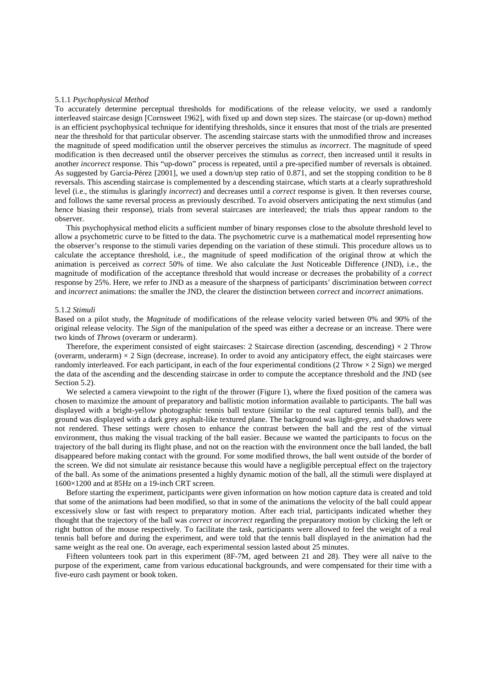#### 5.1.1 *Psychophysical Method*

To accurately determine perceptual thresholds for modifications of the release velocity, we used a randomly interleaved staircase design [Cornsweet 1962], with fixed up and down step sizes. The staircase (or up-down) method is an efficient psychophysical technique for identifying thresholds, since it ensures that most of the trials are presented near the threshold for that particular observer. The ascending staircase starts with the unmodified throw and increases the magnitude of speed modification until the observer perceives the stimulus as *incorrect*. The magnitude of speed modification is then decreased until the observer perceives the stimulus as *correct*, then increased until it results in another *incorrect* response. This "up-down" process is repeated, until a pre-specified number of reversals is obtained. As suggested by Garcia-Pérez [2001], we used a down/up step ratio of 0.871, and set the stopping condition to be 8 reversals. This ascending staircase is complemented by a descending staircase, which starts at a clearly suprathreshold level (i.e., the stimulus is glaringly *incorrect*) and decreases until a *correct* response is given. It then reverses course, and follows the same reversal process as previously described. To avoid observers anticipating the next stimulus (and hence biasing their response), trials from several staircases are interleaved; the trials thus appear random to the observer.

This psychophysical method elicits a sufficient number of binary responses close to the absolute threshold level to allow a psychometric curve to be fitted to the data. The psychometric curve is a mathematical model representing how the observer's response to the stimuli varies depending on the variation of these stimuli. This procedure allows us to calculate the acceptance threshold, i.e., the magnitude of speed modification of the original throw at which the animation is perceived as *correct* 50% of time. We also calculate the Just Noticeable Difference (JND), i.e., the magnitude of modification of the acceptance threshold that would increase or decreases the probability of a *correct* response by 25%. Here, we refer to JND as a measure of the sharpness of participants' discrimination between *correct* and *incorrect* animations: the smaller the JND, the clearer the distinction between *correct* and *incorrect* animations.

## 5.1.2 *Stimuli*

Based on a pilot study, the *Magnitude* of modifications of the release velocity varied between 0% and 90% of the original release velocity. The *Sign* of the manipulation of the speed was either a decrease or an increase. There were two kinds of *Throws* (overarm or underarm).

Therefore, the experiment consisted of eight staircases: 2 Staircase direction (ascending, descending)  $\times$  2 Throw (overarm, underarm)  $\times$  2 Sign (decrease, increase). In order to avoid any anticipatory effect, the eight staircases were randomly interleaved. For each participant, in each of the four experimental conditions (2 Throw  $\times$  2 Sign) we merged the data of the ascending and the descending staircase in order to compute the acceptance threshold and the JND (see Section  $5.2$ ).

We selected a camera viewpoint to the right of the thrower (Figure 1), where the fixed position of the camera was chosen to maximize the amount of preparatory and ballistic motion information available to participants. The ball was displayed with a bright-yellow photographic tennis ball texture (similar to the real captured tennis ball), and the ground was displayed with a dark grey asphalt-like textured plane. The background was light-grey, and shadows were not rendered. These settings were chosen to enhance the contrast between the ball and the rest of the virtual environment, thus making the visual tracking of the ball easier. Because we wanted the participants to focus on the trajectory of the ball during its flight phase, and not on the reaction with the environment once the ball landed, the ball disappeared before making contact with the ground. For some modified throws, the ball went outside of the border of the screen. We did not simulate air resistance because this would have a negligible perceptual effect on the trajectory of the ball. As some of the animations presented a highly dynamic motion of the ball, all the stimuli were displayed at 1600×1200 and at 85Hz on a 19-inch CRT screen.

Before starting the experiment, participants were given information on how motion capture data is created and told that some of the animations had been modified, so that in some of the animations the velocity of the ball could appear excessively slow or fast with respect to preparatory motion. After each trial, participants indicated whether they thought that the trajectory of the ball was *correct* or *incorrect* regarding the preparatory motion by clicking the left or right button of the mouse respectively. To facilitate the task, participants were allowed to feel the weight of a real tennis ball before and during the experiment, and were told that the tennis ball displayed in the animation had the same weight as the real one. On average, each experimental session lasted about 25 minutes.

Fifteen volunteers took part in this experiment (8F-7M, aged between 21 and 28). They were all naïve to the purpose of the experiment, came from various educational backgrounds, and were compensated for their time with a five-euro cash payment or book token.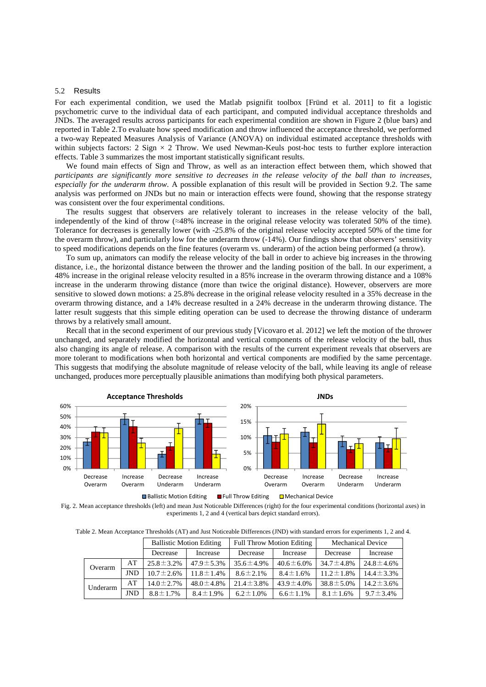#### 5.2 Results

For each experimental condition, we used the Matlab psignifit toolbox [Fründ et al. 2011] to fit a logistic psychometric curve to the individual data of each participant, and computed individual acceptance thresholds and JNDs. The averaged results across participants for each experimental condition are shown in Figure 2 (blue bars) and reported in Table 2.To evaluate how speed modification and throw influenced the acceptance threshold, we performed a two-way Repeated Measures Analysis of Variance (ANOVA) on individual estimated acceptance thresholds with within subjects factors: 2 Sign  $\times$  2 Throw. We used Newman-Keuls post-hoc tests to further explore interaction effects. Table 3 summarizes the most important statistically significant results.

We found main effects of Sign and Throw, as well as an interaction effect between them, which showed that *participants are significantly more sensitive to decreases in the release velocity of the ball than to increases, especially for the underarm throw*. A possible explanation of this result will be provided in Section 9.2. The same analysis was performed on JNDs but no main or interaction effects were found, showing that the response strategy was consistent over the four experimental conditions.

The results suggest that observers are relatively tolerant to increases in the release velocity of the ball, independently of the kind of throw (≈48% increase in the original release velocity was tolerated 50% of the time). Tolerance for decreases is generally lower (with -25.8% of the original release velocity accepted 50% of the time for the overarm throw), and particularly low for the underarm throw (-14%). Our findings show that observers' sensitivity to speed modifications depends on the fine features (overarm vs. underarm) of the action being performed (a throw).

To sum up, animators can modify the release velocity of the ball in order to achieve big increases in the throwing distance, i.e., the horizontal distance between the thrower and the landing position of the ball. In our experiment, a 48% increase in the original release velocity resulted in a 85% increase in the overarm throwing distance and a 108% increase in the underarm throwing distance (more than twice the original distance). However, observers are more sensitive to slowed down motions: a 25.8% decrease in the original release velocity resulted in a 35% decrease in the overarm throwing distance, and a 14% decrease resulted in a 24% decrease in the underarm throwing distance. The latter result suggests that this simple editing operation can be used to decrease the throwing distance of underarm throws by a relatively small amount.

Recall that in the second experiment of our previous study [Vicovaro et al. 2012] we left the motion of the thrower unchanged, and separately modified the horizontal and vertical components of the release velocity of the ball, thus also changing its angle of release. A comparison with the results of the current experiment reveals that observers are more tolerant to modifications when both horizontal and vertical components are modified by the same percentage. This suggests that modifying the absolute magnitude of release velocity of the ball, while leaving its angle of release unchanged, produces more perceptually plausible animations than modifying both physical parameters.



Fig. 2. Mean acceptance thresholds (left) and mean Just Noticeable Differences (right) for the four experimental conditions (horizontal axes) in experiments 1, 2 and 4 (vertical bars depict standard errors).

Table 2. Mean Acceptance Thresholds (AT) and Just Noticeable Differences (JND) with standard errors for experiments 1, 2 and 4.

|          |            | <b>Ballistic Motion Editing</b> |                  | <b>Full Throw Motion Editing</b> |                  | <b>Mechanical Device</b> |                  |
|----------|------------|---------------------------------|------------------|----------------------------------|------------------|--------------------------|------------------|
|          |            | Decrease                        | Increase         | Decrease                         | Increase         | Decrease                 | Increase         |
| Overarm  | AT         | $25.8 \pm 3.2\%$                | $47.9 \pm 5.3\%$ | $35.6 \pm 4.9\%$                 | $40.6 \pm 6.0\%$ | $34.7 \pm 4.8\%$         | $24.8 \pm 4.6\%$ |
|          | <b>JND</b> | $10.7 \pm 2.6\%$                | $11.8 \pm 1.4\%$ | $8.6 \pm 2.1\%$                  | $8.4 \pm 1.6\%$  | $11.2 \pm 1.8\%$         | $14.4 \pm 3.3\%$ |
| Underarm | AT         | $14.0 \pm 2.7\%$                | $48.0 \pm 4.8\%$ | $21.4 \pm 3.8\%$                 | $43.9 \pm 4.0\%$ | $38.8 \pm 5.0\%$         | $14.2 \pm 3.6\%$ |
|          | <b>JND</b> | $8.8 \pm 1.7\%$                 | $8.4 \pm 1.9\%$  | $6.2 \pm 1.0\%$                  | $6.6 \pm 1.1\%$  | $8.1 \pm 1.6\%$          | $9.7 \pm 3.4\%$  |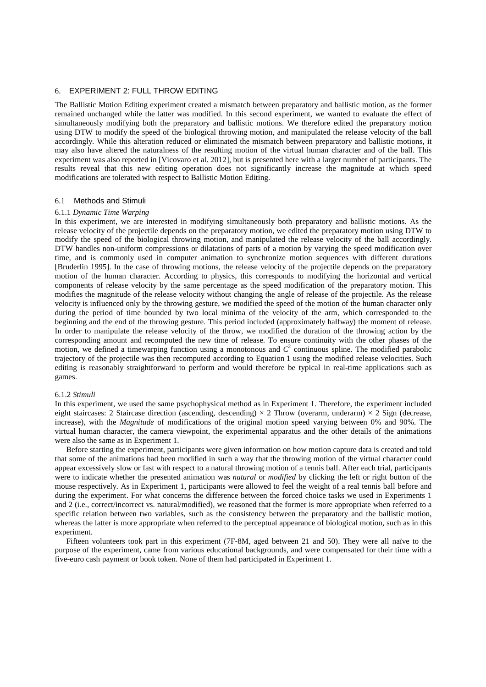## 6. EXPERIMENT 2: FULL THROW EDITING

The Ballistic Motion Editing experiment created a mismatch between preparatory and ballistic motion, as the former remained unchanged while the latter was modified. In this second experiment, we wanted to evaluate the effect of simultaneously modifying both the preparatory and ballistic motions. We therefore edited the preparatory motion using DTW to modify the speed of the biological throwing motion, and manipulated the release velocity of the ball accordingly. While this alteration reduced or eliminated the mismatch between preparatory and ballistic motions, it may also have altered the naturalness of the resulting motion of the virtual human character and of the ball. This experiment was also reported in [Vicovaro et al. 2012], but is presented here with a larger number of participants. The results reveal that this new editing operation does not significantly increase the magnitude at which speed modifications are tolerated with respect to Ballistic Motion Editing.

#### 6.1 Methods and Stimuli

#### 6.1.1 *Dynamic Time Warping*

In this experiment, we are interested in modifying simultaneously both preparatory and ballistic motions. As the release velocity of the projectile depends on the preparatory motion, we edited the preparatory motion using DTW to modify the speed of the biological throwing motion, and manipulated the release velocity of the ball accordingly. DTW handles non-uniform compressions or dilatations of parts of a motion by varying the speed modification over time, and is commonly used in computer animation to synchronize motion sequences with different durations [Bruderlin 1995]. In the case of throwing motions, the release velocity of the projectile depends on the preparatory motion of the human character. According to physics, this corresponds to modifying the horizontal and vertical components of release velocity by the same percentage as the speed modification of the preparatory motion. This modifies the magnitude of the release velocity without changing the angle of release of the projectile. As the release velocity is influenced only by the throwing gesture, we modified the speed of the motion of the human character only during the period of time bounded by two local minima of the velocity of the arm, which corresponded to the beginning and the end of the throwing gesture. This period included (approximately halfway) the moment of release. In order to manipulate the release velocity of the throw, we modified the duration of the throwing action by the corresponding amount and recomputed the new time of release. To ensure continuity with the other phases of the motion, we defined a timewarping function using a monotonous and  $C^2$  continuous spline. The modified parabolic trajectory of the projectile was then recomputed according to Equation 1 using the modified release velocities. Such editing is reasonably straightforward to perform and would therefore be typical in real-time applications such as games.

#### 6.1.2 *Stimuli*

In this experiment, we used the same psychophysical method as in Experiment 1. Therefore, the experiment included eight staircases: 2 Staircase direction (ascending, descending)  $\times$  2 Throw (overarm, underarm)  $\times$  2 Sign (decrease, increase), with the *Magnitude* of modifications of the original motion speed varying between 0% and 90%. The virtual human character, the camera viewpoint, the experimental apparatus and the other details of the animations were also the same as in Experiment 1.

Before starting the experiment, participants were given information on how motion capture data is created and told that some of the animations had been modified in such a way that the throwing motion of the virtual character could appear excessively slow or fast with respect to a natural throwing motion of a tennis ball. After each trial, participants were to indicate whether the presented animation was *natural* or *modified* by clicking the left or right button of the mouse respectively. As in Experiment 1, participants were allowed to feel the weight of a real tennis ball before and during the experiment. For what concerns the difference between the forced choice tasks we used in Experiments 1 and 2 (i.e., correct/incorrect vs. natural/modified), we reasoned that the former is more appropriate when referred to a specific relation between two variables, such as the consistency between the preparatory and the ballistic motion, whereas the latter is more appropriate when referred to the perceptual appearance of biological motion, such as in this experiment.

Fifteen volunteers took part in this experiment (7F-8M, aged between 21 and 50). They were all naïve to the purpose of the experiment, came from various educational backgrounds, and were compensated for their time with a five-euro cash payment or book token. None of them had participated in Experiment 1.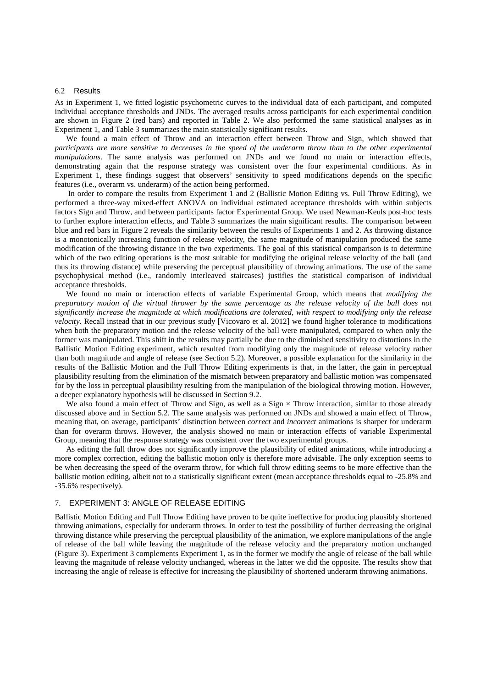#### 6.2 Results

As in Experiment 1, we fitted logistic psychometric curves to the individual data of each participant, and computed individual acceptance thresholds and JNDs. The averaged results across participants for each experimental condition are shown in Figure 2 (red bars) and reported in Table 2. We also performed the same statistical analyses as in Experiment 1, and Table 3 summarizes the main statistically significant results.

We found a main effect of Throw and an interaction effect between Throw and Sign, which showed that *participants are more sensitive to decreases in the speed of the underarm throw than to the other experimental manipulations*. The same analysis was performed on JNDs and we found no main or interaction effects, demonstrating again that the response strategy was consistent over the four experimental conditions. As in Experiment 1, these findings suggest that observers' sensitivity to speed modifications depends on the specific features (i.e., overarm vs. underarm) of the action being performed.

 In order to compare the results from Experiment 1 and 2 (Ballistic Motion Editing vs. Full Throw Editing), we performed a three-way mixed-effect ANOVA on individual estimated acceptance thresholds with within subjects factors Sign and Throw, and between participants factor Experimental Group. We used Newman-Keuls post-hoc tests to further explore interaction effects, and Table 3 summarizes the main significant results. The comparison between blue and red bars in Figure 2 reveals the similarity between the results of Experiments 1 and 2. As throwing distance is a monotonically increasing function of release velocity, the same magnitude of manipulation produced the same modification of the throwing distance in the two experiments. The goal of this statistical comparison is to determine which of the two editing operations is the most suitable for modifying the original release velocity of the ball (and thus its throwing distance) while preserving the perceptual plausibility of throwing animations. The use of the same psychophysical method (i.e., randomly interleaved staircases) justifies the statistical comparison of individual acceptance thresholds.

We found no main or interaction effects of variable Experimental Group, which means that *modifying the preparatory motion of the virtual thrower by the same percentage as the release velocity of the ball does not significantly increase the magnitude at which modifications are tolerated, with respect to modifying only the release velocity*. Recall instead that in our previous study [Vicovaro et al. 2012] we found higher tolerance to modifications when both the preparatory motion and the release velocity of the ball were manipulated, compared to when only the former was manipulated. This shift in the results may partially be due to the diminished sensitivity to distortions in the Ballistic Motion Editing experiment, which resulted from modifying only the magnitude of release velocity rather than both magnitude and angle of release (see Section 5.2). Moreover, a possible explanation for the similarity in the results of the Ballistic Motion and the Full Throw Editing experiments is that, in the latter, the gain in perceptual plausibility resulting from the elimination of the mismatch between preparatory and ballistic motion was compensated for by the loss in perceptual plausibility resulting from the manipulation of the biological throwing motion. However, a deeper explanatory hypothesis will be discussed in Section 9.2.

We also found a main effect of Throw and Sign, as well as a Sign  $\times$  Throw interaction, similar to those already discussed above and in Section 5.2. The same analysis was performed on JNDs and showed a main effect of Throw, meaning that, on average, participants' distinction between *correct* and *incorrect* animations is sharper for underarm than for overarm throws. However, the analysis showed no main or interaction effects of variable Experimental Group, meaning that the response strategy was consistent over the two experimental groups.

As editing the full throw does not significantly improve the plausibility of edited animations, while introducing a more complex correction, editing the ballistic motion only is therefore more advisable. The only exception seems to be when decreasing the speed of the overarm throw, for which full throw editing seems to be more effective than the ballistic motion editing, albeit not to a statistically significant extent (mean acceptance thresholds equal to -25.8% and -35.6% respectively).

# 7. EXPERIMENT 3: ANGLE OF RELEASE EDITING

Ballistic Motion Editing and Full Throw Editing have proven to be quite ineffective for producing plausibly shortened throwing animations, especially for underarm throws. In order to test the possibility of further decreasing the original throwing distance while preserving the perceptual plausibility of the animation, we explore manipulations of the angle of release of the ball while leaving the magnitude of the release velocity and the preparatory motion unchanged (Figure 3). Experiment 3 complements Experiment 1, as in the former we modify the angle of release of the ball while leaving the magnitude of release velocity unchanged, whereas in the latter we did the opposite. The results show that increasing the angle of release is effective for increasing the plausibility of shortened underarm throwing animations.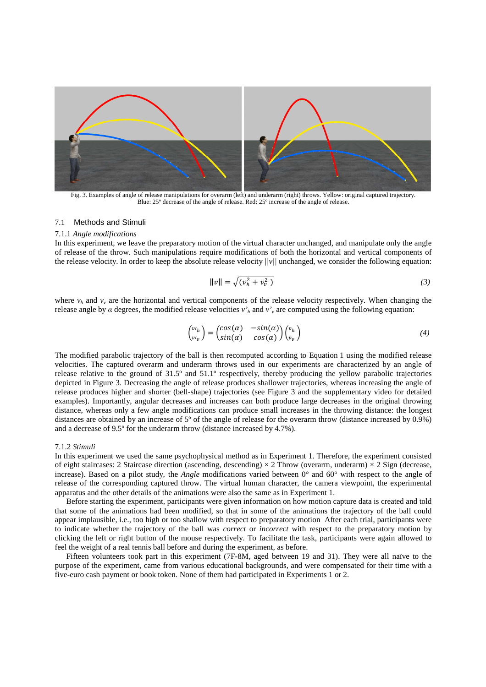

Fig. 3. Examples of angle of release manipulations for overarm (left) and underarm (right) throws. Yellow: original captured trajectory. Blue: 25º decrease of the angle of release. Red: 25º increase of the angle of release.

# 7.1 Methods and Stimuli

#### 7.1.1 *Angle modifications*

In this experiment, we leave the preparatory motion of the virtual character unchanged, and manipulate only the angle of release of the throw. Such manipulations require modifications of both the horizontal and vertical components of the release velocity. In order to keep the absolute release velocity *||v||* unchanged, we consider the following equation:

$$
\|v\| = \sqrt{(v_h^2 + v_v^2)}
$$
\n(3)

where  $v_h$  and  $v_v$  are the horizontal and vertical components of the release velocity respectively. When changing the release angle by  $\alpha$  degrees, the modified release velocities  $v'_h$  and  $v'_v$  are computed using the following equation:

$$
\begin{pmatrix} v_h \\ v_v \end{pmatrix} = \begin{pmatrix} \cos(\alpha) & -\sin(\alpha) \\ \sin(\alpha) & \cos(\alpha) \end{pmatrix} \begin{pmatrix} v_h \\ v_v \end{pmatrix} \tag{4}
$$

The modified parabolic trajectory of the ball is then recomputed according to Equation 1 using the modified release velocities. The captured overarm and underarm throws used in our experiments are characterized by an angle of release relative to the ground of 31.5º and 51.1º respectively, thereby producing the yellow parabolic trajectories depicted in Figure 3. Decreasing the angle of release produces shallower trajectories, whereas increasing the angle of release produces higher and shorter (bell-shape) trajectories (see Figure 3 and the supplementary video for detailed examples). Importantly, angular decreases and increases can both produce large decreases in the original throwing distance, whereas only a few angle modifications can produce small increases in the throwing distance: the longest distances are obtained by an increase of 5º of the angle of release for the overarm throw (distance increased by 0.9%) and a decrease of 9.5º for the underarm throw (distance increased by 4.7%).

#### 7.1.2 *Stimuli*

In this experiment we used the same psychophysical method as in Experiment 1. Therefore, the experiment consisted of eight staircases: 2 Staircase direction (ascending, descending)  $\times$  2 Throw (overarm, underarm)  $\times$  2 Sign (decrease, increase). Based on a pilot study, the *Angle* modifications varied between 0° and 60° with respect to the angle of release of the corresponding captured throw. The virtual human character, the camera viewpoint, the experimental apparatus and the other details of the animations were also the same as in Experiment 1.

Before starting the experiment, participants were given information on how motion capture data is created and told that some of the animations had been modified, so that in some of the animations the trajectory of the ball could appear implausible, i.e., too high or too shallow with respect to preparatory motion After each trial, participants were to indicate whether the trajectory of the ball was *correct* or *incorrect* with respect to the preparatory motion by clicking the left or right button of the mouse respectively. To facilitate the task, participants were again allowed to feel the weight of a real tennis ball before and during the experiment, as before.

Fifteen volunteers took part in this experiment (7F-8M, aged between 19 and 31). They were all naïve to the purpose of the experiment, came from various educational backgrounds, and were compensated for their time with a five-euro cash payment or book token. None of them had participated in Experiments 1 or 2.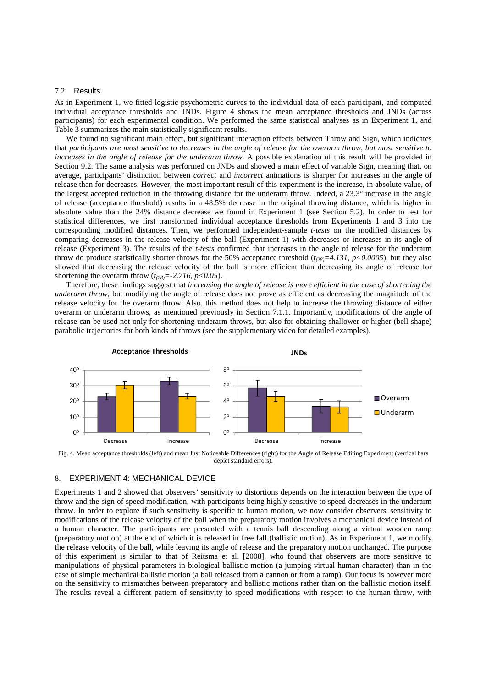#### 7.2 Results

As in Experiment 1, we fitted logistic psychometric curves to the individual data of each participant, and computed individual acceptance thresholds and JNDs. Figure 4 shows the mean acceptance thresholds and JNDs (across participants) for each experimental condition. We performed the same statistical analyses as in Experiment 1, and Table 3 summarizes the main statistically significant results.

We found no significant main effect, but significant interaction effects between Throw and Sign, which indicates that *participants are most sensitive to decreases in the angle of release for the overarm throw, but most sensitive to increases in the angle of release for the underarm throw*. A possible explanation of this result will be provided in Section 9.2. The same analysis was performed on JNDs and showed a main effect of variable Sign, meaning that, on average, participants' distinction between *correct* and *incorrect* animations is sharper for increases in the angle of release than for decreases. However, the most important result of this experiment is the increase, in absolute value, of the largest accepted reduction in the throwing distance for the underarm throw. Indeed, a 23.3° increase in the angle of release (acceptance threshold) results in a 48.5% decrease in the original throwing distance, which is higher in absolute value than the 24% distance decrease we found in Experiment 1 (see Section 5.2). In order to test for statistical differences, we first transformed individual acceptance thresholds from Experiments 1 and 3 into the corresponding modified distances. Then, we performed independent-sample *t-tests* on the modified distances by comparing decreases in the release velocity of the ball (Experiment 1) with decreases or increases in its angle of release (Experiment 3). The results of the *t-tests* confirmed that increases in the angle of release for the underarm throw do produce statistically shorter throws for the 50% acceptance threshold  $(t_{(28)}=4.131, p<0.0005)$ , but they also showed that decreasing the release velocity of the ball is more efficient than decreasing its angle of release for shortening the overarm throw  $(t_{(28)} = -2.716, p < 0.05)$ .

Therefore, these findings suggest that *increasing the angle of release is more efficient in the case of shortening the underarm throw,* but modifying the angle of release does not prove as efficient as decreasing the magnitude of the release velocity for the overarm throw. Also, this method does not help to increase the throwing distance of either overarm or underarm throws, as mentioned previously in Section 7.1.1. Importantly, modifications of the angle of release can be used not only for shortening underarm throws, but also for obtaining shallower or higher (bell-shape) parabolic trajectories for both kinds of throws (see the supplementary video for detailed examples).



Fig. 4. Mean acceptance thresholds (left) and mean Just Noticeable Differences (right) for the Angle of Release Editing Experiment (vertical bars depict standard errors).

# 8. EXPERIMENT 4: MECHANICAL DEVICE

Experiments 1 and 2 showed that observers' sensitivity to distortions depends on the interaction between the type of throw and the sign of speed modification, with participants being highly sensitive to speed decreases in the underarm throw. In order to explore if such sensitivity is specific to human motion, we now consider observers' sensitivity to modifications of the release velocity of the ball when the preparatory motion involves a mechanical device instead of a human character. The participants are presented with a tennis ball descending along a virtual wooden ramp (preparatory motion) at the end of which it is released in free fall (ballistic motion). As in Experiment 1, we modify the release velocity of the ball, while leaving its angle of release and the preparatory motion unchanged. The purpose of this experiment is similar to that of Reitsma et al. [2008], who found that observers are more sensitive to manipulations of physical parameters in biological ballistic motion (a jumping virtual human character) than in the case of simple mechanical ballistic motion (a ball released from a cannon or from a ramp). Our focus is however more on the sensitivity to mismatches between preparatory and ballistic motions rather than on the ballistic motion itself. The results reveal a different pattern of sensitivity to speed modifications with respect to the human throw, with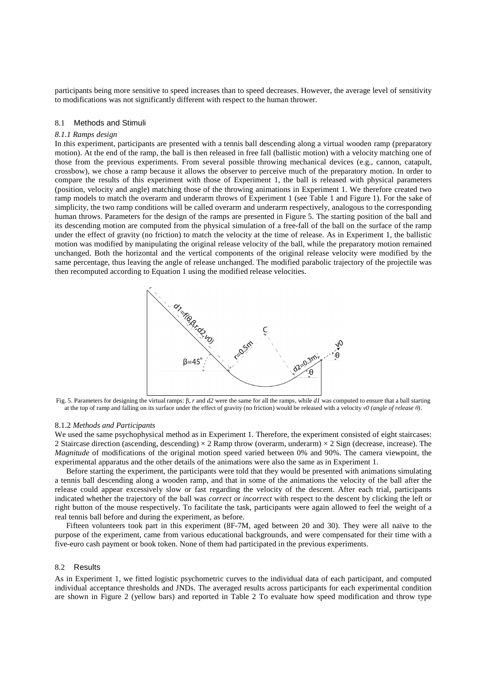participants being more sensitive to speed increases than to speed decreases. However, the average level of sensitivity to modifications was not significantly different with respect to the human thrower.

#### 8.1 Methods and Stimuli

#### *8.1.1 Ramps design*

In this experiment, participants are presented with a tennis ball descending along a virtual wooden ramp (preparatory motion). At the end of the ramp, the ball is then released in free fall (ballistic motion) with a velocity matching one of those from the previous experiments. From several possible throwing mechanical devices (e.g., cannon, catapult, crossbow), we chose a ramp because it allows the observer to perceive much of the preparatory motion. In order to compare the results of this experiment with those of Experiment 1, the ball is released with physical parameters (position, velocity and angle) matching those of the throwing animations in Experiment 1. We therefore created two ramp models to match the overarm and underarm throws of Experiment 1 (see Table 1 and Figure 1). For the sake of simplicity, the two ramp conditions will be called overarm and underarm respectively, analogous to the corresponding human throws. Parameters for the design of the ramps are presented in Figure 5. The starting position of the ball and its descending motion are computed from the physical simulation of a free-fall of the ball on the surface of the ramp under the effect of gravity (no friction) to match the velocity at the time of release. As in Experiment 1, the ballistic motion was modified by manipulating the original release velocity of the ball, while the preparatory motion remained unchanged. Both the horizontal and the vertical components of the original release velocity were modified by the same percentage, thus leaving the angle of release unchanged. The modified parabolic trajectory of the projectile was then recomputed according to Equation 1 using the modified release velocities.



Fig. 5. Parameters for designing the virtual ramps: β, *r* and *d2* were the same for all the ramps, while *d1* was computed to ensure that a ball starting at the top of ramp and falling on its surface under the effect of gravity (no friction) would be released with a velocity *v0 (angle of release θ)*.

#### 8.1.2 *Methods and Participants*

We used the same psychophysical method as in Experiment 1. Therefore, the experiment consisted of eight staircases: 2 Staircase direction (ascending, descending)  $\times$  2 Ramp throw (overarm, underarm)  $\times$  2 Sign (decrease, increase). The *Magnitude* of modifications of the original motion speed varied between 0% and 90%. The camera viewpoint, the experimental apparatus and the other details of the animations were also the same as in Experiment 1.

Before starting the experiment, the participants were told that they would be presented with animations simulating a tennis ball descending along a wooden ramp, and that in some of the animations the velocity of the ball after the release could appear excessively slow or fast regarding the velocity of the descent. After each trial, participants indicated whether the trajectory of the ball was *correct* or *incorrect* with respect to the descent by clicking the left or right button of the mouse respectively. To facilitate the task, participants were again allowed to feel the weight of a real tennis ball before and during the experiment, as before.

Fifteen volunteers took part in this experiment (8F-7M, aged between 20 and 30). They were all naïve to the purpose of the experiment, came from various educational backgrounds, and were compensated for their time with a five-euro cash payment or book token. None of them had participated in the previous experiments.

#### 8.2 Results

As in Experiment 1, we fitted logistic psychometric curves to the individual data of each participant, and computed individual acceptance thresholds and JNDs. The averaged results across participants for each experimental condition are shown in Figure 2 (yellow bars) and reported in Table 2 To evaluate how speed modification and throw type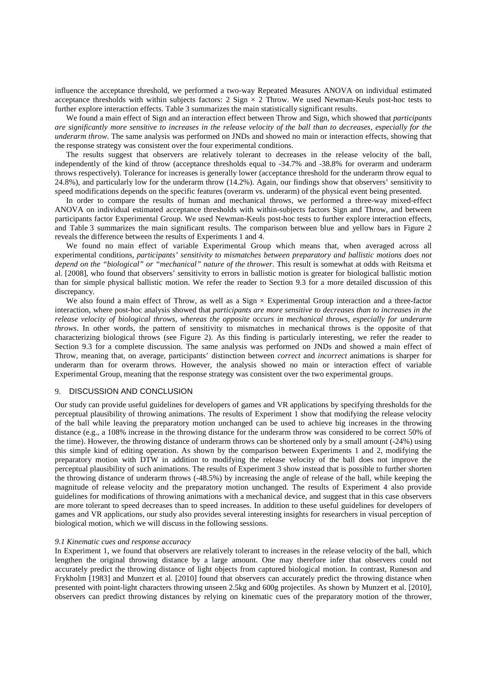influence the acceptance threshold, we performed a two-way Repeated Measures ANOVA on individual estimated acceptance thresholds with within subjects factors: 2 Sign  $\times$  2 Throw. We used Newman-Keuls post-hoc tests to further explore interaction effects. Table 3 summarizes the main statistically significant results.

We found a main effect of Sign and an interaction effect between Throw and Sign, which showed that *participants are significantly more sensitive to increases in the release velocity of the ball than to decreases, especially for the underarm throw*. The same analysis was performed on JNDs and showed no main or interaction effects, showing that the response strategy was consistent over the four experimental conditions.

The results suggest that observers are relatively tolerant to decreases in the release velocity of the ball, independently of the kind of throw (acceptance thresholds equal to -34.7% and -38.8% for overarm and underarm throws respectively). Tolerance for increases is generally lower (acceptance threshold for the underarm throw equal to 24.8%), and particularly low for the underarm throw (14.2%). Again, our findings show that observers' sensitivity to speed modifications depends on the specific features (overarm vs. underarm) of the physical event being presented.

In order to compare the results of human and mechanical throws, we performed a three-way mixed-effect ANOVA on individual estimated acceptance thresholds with within-subjects factors Sign and Throw, and between participants factor Experimental Group. We used Newman-Keuls post-hoc tests to further explore interaction effects, and Table 3 summarizes the main significant results. The comparison between blue and yellow bars in Figure 2 reveals the difference between the results of Experiments 1 and 4.

We found no main effect of variable Experimental Group which means that, when averaged across all experimental conditions, *participants' sensitivity to mismatches between preparatory and ballistic motions does not depend on the "biological" or "mechanical" nature of the thrower*. This result is somewhat at odds with Reitsma et al. [2008], who found that observers' sensitivity to errors in ballistic motion is greater for biological ballistic motion than for simple physical ballistic motion. We refer the reader to Section 9.3 for a more detailed discussion of this discrepancy.

We also found a main effect of Throw, as well as a  $Sign \times Experimental$  Group interaction and a three-factor interaction, where post-hoc analysis showed that *participants are more sensitive to decreases than to increases in the release velocity of biological throws, whereas the opposite occurs in mechanical throws, especially for underarm throws*. In other words, the pattern of sensitivity to mismatches in mechanical throws is the opposite of that characterizing biological throws (see Figure 2). As this finding is particularly interesting, we refer the reader to Section 9.3 for a complete discussion. The same analysis was performed on JNDs and showed a main effect of Throw, meaning that, on average, participants' distinction between *correct* and *incorrect* animations is sharper for underarm than for overarm throws. However, the analysis showed no main or interaction effect of variable Experimental Group, meaning that the response strategy was consistent over the two experimental groups.

# 9. DISCUSSION AND CONCLUSION

Our study can provide useful guidelines for developers of games and VR applications by specifying thresholds for the perceptual plausibility of throwing animations. The results of Experiment 1 show that modifying the release velocity of the ball while leaving the preparatory motion unchanged can be used to achieve big increases in the throwing distance (e.g., a 108% increase in the throwing distance for the underarm throw was considered to be correct 50% of the time). However, the throwing distance of underarm throws can be shortened only by a small amount (-24%) using this simple kind of editing operation. As shown by the comparison between Experiments 1 and 2, modifying the preparatory motion with DTW in addition to modifying the release velocity of the ball does not improve the perceptual plausibility of such animations. The results of Experiment 3 show instead that is possible to further shorten the throwing distance of underarm throws (-48.5%) by increasing the angle of release of the ball, while keeping the magnitude of release velocity and the preparatory motion unchanged. The results of Experiment 4 also provide guidelines for modifications of throwing animations with a mechanical device, and suggest that in this case observers are more tolerant to speed decreases than to speed increases. In addition to these useful guidelines for developers of games and VR applications, our study also provides several interesting insights for researchers in visual perception of biological motion, which we will discuss in the following sessions.

#### *9.1 Kinematic cues and response accuracy*

In Experiment 1, we found that observers are relatively tolerant to increases in the release velocity of the ball, which lengthen the original throwing distance by a large amount. One may therefore infer that observers could not accurately predict the throwing distance of light objects from captured biological motion. In contrast, Runeson and Frykholm [1983] and Munzert et al. [2010] found that observers can accurately predict the throwing distance when presented with point-light characters throwing unseen 2.5kg and 600g projectiles. As shown by Munzert et al. [2010], observers can predict throwing distances by relying on kinematic cues of the preparatory motion of the thrower,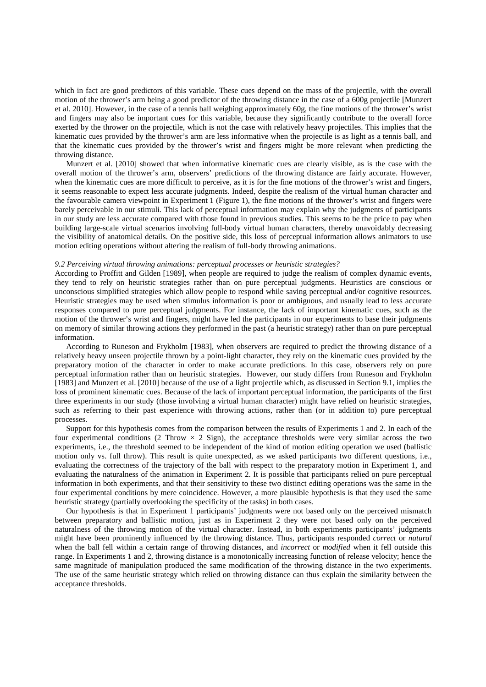which in fact are good predictors of this variable. These cues depend on the mass of the projectile, with the overall motion of the thrower's arm being a good predictor of the throwing distance in the case of a 600g projectile [Munzert et al. 2010]. However, in the case of a tennis ball weighing approximately 60g, the fine motions of the thrower's wrist and fingers may also be important cues for this variable, because they significantly contribute to the overall force exerted by the thrower on the projectile, which is not the case with relatively heavy projectiles. This implies that the kinematic cues provided by the thrower's arm are less informative when the projectile is as light as a tennis ball, and that the kinematic cues provided by the thrower's wrist and fingers might be more relevant when predicting the throwing distance.

Munzert et al. [2010] showed that when informative kinematic cues are clearly visible, as is the case with the overall motion of the thrower's arm, observers' predictions of the throwing distance are fairly accurate. However, when the kinematic cues are more difficult to perceive, as it is for the fine motions of the thrower's wrist and fingers, it seems reasonable to expect less accurate judgments. Indeed, despite the realism of the virtual human character and the favourable camera viewpoint in Experiment 1 (Figure 1), the fine motions of the thrower's wrist and fingers were barely perceivable in our stimuli. This lack of perceptual information may explain why the judgments of participants in our study are less accurate compared with those found in previous studies. This seems to be the price to pay when building large-scale virtual scenarios involving full-body virtual human characters, thereby unavoidably decreasing the visibility of anatomical details. On the positive side, this loss of perceptual information allows animators to use motion editing operations without altering the realism of full-body throwing animations.

#### *9.2 Perceiving virtual throwing animations: perceptual processes or heuristic strategies?*

According to Proffitt and Gilden [1989], when people are required to judge the realism of complex dynamic events, they tend to rely on heuristic strategies rather than on pure perceptual judgments. Heuristics are conscious or unconscious simplified strategies which allow people to respond while saving perceptual and/or cognitive resources. Heuristic strategies may be used when stimulus information is poor or ambiguous, and usually lead to less accurate responses compared to pure perceptual judgments. For instance, the lack of important kinematic cues, such as the motion of the thrower's wrist and fingers, might have led the participants in our experiments to base their judgments on memory of similar throwing actions they performed in the past (a heuristic strategy) rather than on pure perceptual information.

According to Runeson and Frykholm [1983], when observers are required to predict the throwing distance of a relatively heavy unseen projectile thrown by a point-light character, they rely on the kinematic cues provided by the preparatory motion of the character in order to make accurate predictions. In this case, observers rely on pure perceptual information rather than on heuristic strategies. However, our study differs from Runeson and Frykholm [1983] and Munzert et al. [2010] because of the use of a light projectile which, as discussed in Section 9.1, implies the loss of prominent kinematic cues. Because of the lack of important perceptual information, the participants of the first three experiments in our study (those involving a virtual human character) might have relied on heuristic strategies, such as referring to their past experience with throwing actions, rather than (or in addition to) pure perceptual processes.

Support for this hypothesis comes from the comparison between the results of Experiments 1 and 2. In each of the four experimental conditions (2 Throw  $\times$  2 Sign), the acceptance thresholds were very similar across the two experiments, i.e., the threshold seemed to be independent of the kind of motion editing operation we used (ballistic motion only vs. full throw). This result is quite unexpected, as we asked participants two different questions, i.e., evaluating the correctness of the trajectory of the ball with respect to the preparatory motion in Experiment 1, and evaluating the naturalness of the animation in Experiment 2. It is possible that participants relied on pure perceptual information in both experiments, and that their sensitivity to these two distinct editing operations was the same in the four experimental conditions by mere coincidence. However, a more plausible hypothesis is that they used the same heuristic strategy (partially overlooking the specificity of the tasks) in both cases.

Our hypothesis is that in Experiment 1 participants' judgments were not based only on the perceived mismatch between preparatory and ballistic motion, just as in Experiment 2 they were not based only on the perceived naturalness of the throwing motion of the virtual character. Instead, in both experiments participants' judgments might have been prominently influenced by the throwing distance. Thus, participants responded *correct* or *natural*  when the ball fell within a certain range of throwing distances, and *incorrect* or *modified* when it fell outside this range. In Experiments 1 and 2, throwing distance is a monotonically increasing function of release velocity; hence the same magnitude of manipulation produced the same modification of the throwing distance in the two experiments. The use of the same heuristic strategy which relied on throwing distance can thus explain the similarity between the acceptance thresholds.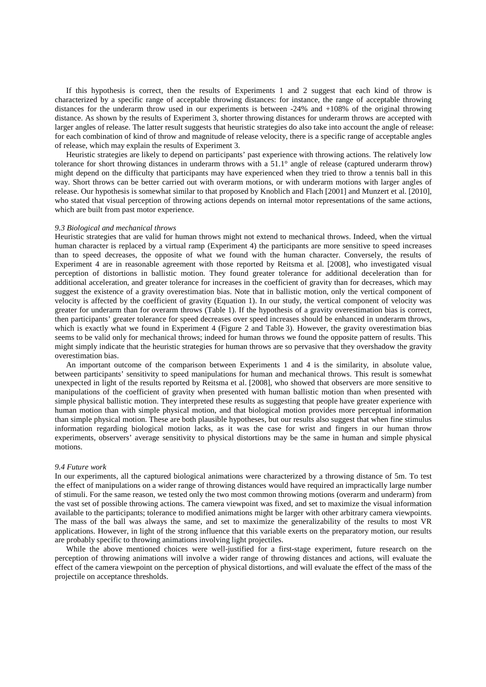If this hypothesis is correct, then the results of Experiments 1 and 2 suggest that each kind of throw is characterized by a specific range of acceptable throwing distances: for instance, the range of acceptable throwing distances for the underarm throw used in our experiments is between -24% and +108% of the original throwing distance. As shown by the results of Experiment 3, shorter throwing distances for underarm throws are accepted with larger angles of release. The latter result suggests that heuristic strategies do also take into account the angle of release: for each combination of kind of throw and magnitude of release velocity, there is a specific range of acceptable angles of release, which may explain the results of Experiment 3.

Heuristic strategies are likely to depend on participants' past experience with throwing actions. The relatively low tolerance for short throwing distances in underarm throws with a 51.1° angle of release (captured underarm throw) might depend on the difficulty that participants may have experienced when they tried to throw a tennis ball in this way. Short throws can be better carried out with overarm motions, or with underarm motions with larger angles of release. Our hypothesis is somewhat similar to that proposed by Knoblich and Flach [2001] and Munzert et al. [2010], who stated that visual perception of throwing actions depends on internal motor representations of the same actions, which are built from past motor experience.

#### *9.3 Biological and mechanical throws*

Heuristic strategies that are valid for human throws might not extend to mechanical throws. Indeed, when the virtual human character is replaced by a virtual ramp (Experiment 4) the participants are more sensitive to speed increases than to speed decreases, the opposite of what we found with the human character. Conversely, the results of Experiment 4 are in reasonable agreement with those reported by Reitsma et al. [2008], who investigated visual perception of distortions in ballistic motion. They found greater tolerance for additional deceleration than for additional acceleration, and greater tolerance for increases in the coefficient of gravity than for decreases, which may suggest the existence of a gravity overestimation bias. Note that in ballistic motion, only the vertical component of velocity is affected by the coefficient of gravity (Equation 1). In our study, the vertical component of velocity was greater for underarm than for overarm throws (Table 1). If the hypothesis of a gravity overestimation bias is correct, then participants' greater tolerance for speed decreases over speed increases should be enhanced in underarm throws, which is exactly what we found in Experiment 4 (Figure 2 and Table 3). However, the gravity overestimation bias seems to be valid only for mechanical throws; indeed for human throws we found the opposite pattern of results. This might simply indicate that the heuristic strategies for human throws are so pervasive that they overshadow the gravity overestimation bias.

An important outcome of the comparison between Experiments 1 and 4 is the similarity, in absolute value, between participants' sensitivity to speed manipulations for human and mechanical throws. This result is somewhat unexpected in light of the results reported by Reitsma et al. [2008], who showed that observers are more sensitive to manipulations of the coefficient of gravity when presented with human ballistic motion than when presented with simple physical ballistic motion. They interpreted these results as suggesting that people have greater experience with human motion than with simple physical motion, and that biological motion provides more perceptual information than simple physical motion. These are both plausible hypotheses, but our results also suggest that when fine stimulus information regarding biological motion lacks, as it was the case for wrist and fingers in our human throw experiments, observers' average sensitivity to physical distortions may be the same in human and simple physical motions.

#### *9.4 Future work*

In our experiments, all the captured biological animations were characterized by a throwing distance of 5m. To test the effect of manipulations on a wider range of throwing distances would have required an impractically large number of stimuli. For the same reason, we tested only the two most common throwing motions (overarm and underarm) from the vast set of possible throwing actions. The camera viewpoint was fixed, and set to maximize the visual information available to the participants; tolerance to modified animations might be larger with other arbitrary camera viewpoints. The mass of the ball was always the same, and set to maximize the generalizability of the results to most VR applications. However, in light of the strong influence that this variable exerts on the preparatory motion, our results are probably specific to throwing animations involving light projectiles.

While the above mentioned choices were well-justified for a first-stage experiment, future research on the perception of throwing animations will involve a wider range of throwing distances and actions, will evaluate the effect of the camera viewpoint on the perception of physical distortions, and will evaluate the effect of the mass of the projectile on acceptance thresholds.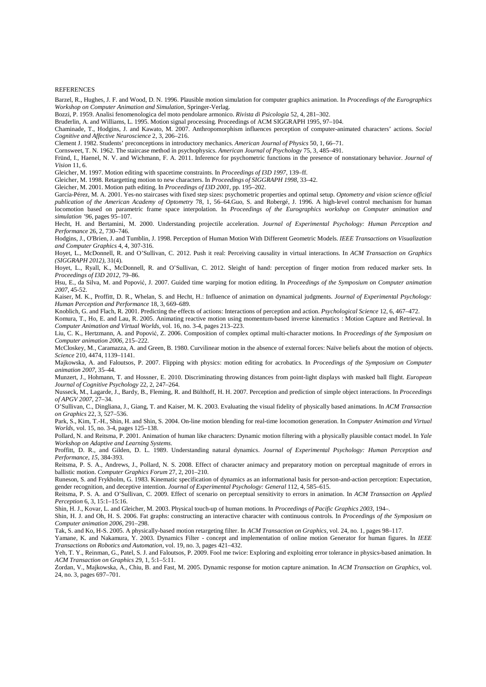**REFERENCES** 

Barzel, R., Hughes, J. F. and Wood, D. N. 1996. Plausible motion simulation for computer graphics animation. In *Proceedings of the Eurographics Workshop on Computer Animation and Simulation*, Springer-Verlag.

Bozzi, P. 1959. Analisi fenomenologica del moto pendolare armonico. *Rivista di Psicologia* 52, 4, 281–302.

Bruderlin, A. and Williams, L. 1995. Motion signal processing. Proceedings of ACM SIGGRAPH 1995, 97–104.

Chaminade, T., Hodgins, J. and Kawato, M. 2007. Anthropomorphism influences perception of computer-animated characters' actions. *Social Cognitive and Affective Neuroscience* 2, 3, 206–216.

Clement J. 1982. Students' preconceptions in introductory mechanics. *American Journal of Physics* 50, 1, 66–71.

Cornsweet, T. N. 1962. The staircase method in psychophysics. *American Journal of Psychology* 75, 3, 485–491.

Fründ, I., Haenel, N. V. and Wichmann, F. A. 2011. Inference for psychometric functions in the presence of nonstationary behavior. *Journal of Vision* 11, 6.

Gleicher, M. 1997. Motion editing with spacetime constraints. In *Proceedings of I3D 1997*, 139–ff.

Gleicher, M. 1998. Retargetting motion to new characters. In *Proceedings of SIGGRAPH 1998*, 33–42.

Gleicher, M. 2001. Motion path editing. In *Proceedings of I3D 2001*, pp. 195–202.

García-Pérez, M. A. 2001. Yes-no staircases with fixed step sizes: psychometric properties and optimal setup. *Optometry and vision science official publication of the American Academy of Optometry* 78, 1, 56–64.Guo, S. and Robergé, J. 1996. A high-level control mechanism for human locomotion based on parametric frame space interpolation. In *Proceedings of the Eurographics workshop on Computer animation and simulation '96*, pages 95–107.

Hecht, H. and Bertamini, M. 2000. Understanding projectile acceleration. *Journal of Experimental Psychology: Human Perception and Performance* 26, 2, 730–746.

Hodgins, J., O'Brien, J. and Tumblin, J. 1998. Perception of Human Motion With Different Geometric Models. *IEEE Transactions on Visualization and Computer Graphics* 4, 4, 307-316.

Hoyet, L., McDonnell, R. and O'Sullivan, C. 2012. Push it real: Perceiving causality in virtual interactions. In *ACM Transaction on Graphics (SIGGRAPH 2012)*, 31(4).

Hoyet, L., Ryall, K., McDonnell, R. and O'Sullivan, C. 2012. Sleight of hand: perception of finger motion from reduced marker sets. In *Proceedings of I3D 2012*, 79–86.

Hsu, E., da Silva, M. and Popović, J. 2007. Guided time warping for motion editing. In *Proceedings of the Symposium on Computer animation 2007*, 45-52.

Kaiser, M. K., Proffitt, D. R., Whelan, S. and Hecht, H.: Influence of animation on dynamical judgments. *Journal of Experimental Psychology: Human Perception and Performance* 18, 3, 669–689.

Knoblich, G. and Flach, R. 2001. Predicting the effects of actions: Interactions of perception and action. *Psychological Science* 12, 6, 467–472. Komura, T., Ho, E. and Lau, R. 2005. Animating reactive motion using momentum-based inverse kinematics : Motion Capture and Retrieval. In *Computer Animation and Virtual Worlds*, vol. 16, no. 3-4, pages 213–223.

Liu, C. K., Hertzmann, A. and Popović, Z. 2006. Composition of complex optimal multi-character motions. In *Proceedings of the Symposium on Computer animation 2006*, 215–222.

McCloskey, M., Caramazza, A. and Green, B. 1980. Curvilinear motion in the absence of external forces: Naïve beliefs about the motion of objects. *Science* 210, 4474, 1139–1141.

Majkowska, A. and Faloutsos, P. 2007. Flipping with physics: motion editing for acrobatics. In *Proceedings of the Symposium on Computer animation 2007*, 35–44.

Munzert, J., Hohmann, T. and Hossner, E. 2010. Discriminating throwing distances from point-light displays with masked ball flight. *European Journal of Cognitive Psychology* 22, 2, 247–264.

Nusseck, M., Lagarde, J., Bardy, B., Fleming, R. and Bülthoff, H. H. 2007. Perception and prediction of simple object interactions. In *Proceedings of APGV 2007*, 27–34.

O'Sullivan, C., Dingliana, J., Giang, T. and Kaiser, M. K. 2003. Evaluating the visual fidelity of physically based animations. In *ACM Transaction on Graphics* 22, 3, 527–536.

Park, S., Kim, T.-H., Shin, H. and Shin, S. 2004. On-line motion blending for real-time locomotion generation. In *Computer Animation and Virtual Worlds*, vol. 15, no. 3-4, pages 125–138.

Pollard, N. and Reitsma, P. 2001. Animation of human like characters: Dynamic motion filtering with a physically plausible contact model. In *Yale Workshop on Adaptive and Learning Systems*.

Proffitt, D. R., and Gilden, D. L. 1989. Understanding natural dynamics. *Journal of Experimental Psychology: Human Perception and Performance*, *15*, 384-393.

Reitsma, P. S. A., Andrews, J., Pollard, N. S. 2008. Effect of character animacy and preparatory motion on perceptual magnitude of errors in ballistic motion. *Computer Graphics Forum* 27, 2, 201–210.

Runeson, S. and Frykholm, G. 1983. Kinematic specification of dynamics as an informational basis for person-and-action perception: Expectation, gender recognition, and deceptive intention. *Journal of Experimental Psychology: General* 112, 4, 585–615.

Reitsma, P. S. A. and O'Sullivan, C. 2009. Effect of scenario on perceptual sensitivity to errors in animation. In *ACM Transaction on Applied Perception* 6, 3, 15:1–15:16.

Shin, H. J., Kovar, L. and Gleicher, M. 2003. Physical touch-up of human motions. In *Proceedings of Pacific Graphics 2003*, 194–.

Shin, H. J. and Oh, H. S. 2006. Fat graphs: constructing an interactive character with continuous controls. In *Proceedings of the Symposium on Computer animation 2006*, 291–298.

Tak, S. and Ko, H-S. 2005. A physically-based motion retargeting filter. In *ACM Transaction on Graphics*, vol. 24, no. 1, pages 98–117.

Yamane, K. and Nakamura, Y. 2003. Dynamics Filter - concept and implementation of online motion Generator for human figures. In *IEEE Transactions on Robotics and Automation*, vol. 19, no. 3, pages 421–432.

Yeh, T. Y., Reinman, G., Patel, S. J. and Faloutsos, P. 2009. Fool me twice: Exploring and exploiting error tolerance in physics-based animation. In *ACM Transaction on Graphics* 29, 1, 5:1–5:11.

Zordan, V., Majkowska, A., Chiu, B. and Fast, M. 2005. Dynamic response for motion capture animation. In *ACM Transaction on Graphics*, vol. 24, no. 3, pages 697–701.